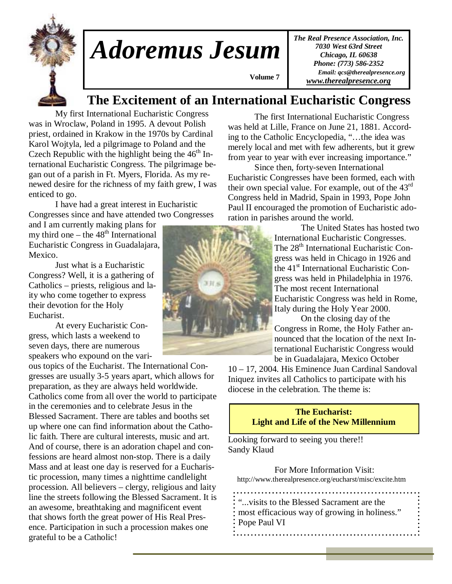

# *Adoremus Jesum*

*The Real Presence Association, Inc. 7030 West 63rd Street Chicago, IL 60638 Phone: (773) 586-2352 Email: qcs@therealpresence.org www.therealpresence.org*

# **The Excitement of an International Eucharistic Congress**

 **Volume 7 ,**

 My first International Eucharistic Congress was in Wroclaw, Poland in 1995. A devout Polish priest, ordained in Krakow in the 1970s by Cardinal Karol Wojtyla, led a pilgrimage to Poland and the Czech Republic with the highlight being the  $46<sup>th</sup>$  International Eucharistic Congress. The pilgrimage began out of a parish in Ft. Myers, Florida. As my renewed desire for the richness of my faith grew, I was enticed to go.

 I have had a great interest in Eucharistic Congresses since and have attended two Congresses

and I am currently making plans for my third one – the  $48<sup>th</sup>$  International Eucharistic Congress in Guadalajara, Mexico.

 Just what is a Eucharistic Congress? Well, it is a gathering of Catholics – priests, religious and laity who come together to express their devotion for the Holy Eucharist.

 At every Eucharistic Congress, which lasts a weekend to seven days, there are numerous speakers who expound on the vari-

ous topics of the Eucharist. The International Congresses are usually 3-5 years apart, which allows for preparation, as they are always held worldwide. Catholics come from all over the world to participate in the ceremonies and to celebrate Jesus in the Blessed Sacrament. There are tables and booths set up where one can find information about the Catholic faith. There are cultural interests, music and art. And of course, there is an adoration chapel and confessions are heard almost non-stop. There is a daily Mass and at least one day is reserved for a Eucharistic procession, many times a nighttime candlelight procession. All believers – clergy, religious and laity line the streets following the Blessed Sacrament. It is an awesome, breathtaking and magnificent event that shows forth the great power of His Real Presence. Participation in such a procession makes one grateful to be a Catholic!

 The first International Eucharistic Congress was held at Lille, France on June 21, 1881. According to the Catholic Encyclopedia, "…the idea was merely local and met with few adherents, but it grew from year to year with ever increasing importance."

 Since then, forty-seven International Eucharistic Congresses have been formed, each with their own special value. For example, out of the 43rd Congress held in Madrid, Spain in 1993, Pope John Paul II encouraged the promotion of Eucharistic adoration in parishes around the world.

 The United States has hosted two International Eucharistic Congresses. The 28<sup>th</sup> International Eucharistic Congress was held in Chicago in 1926 and the 41<sup>st</sup> International Eucharistic Congress was held in Philadelphia in 1976. The most recent International Eucharistic Congress was held in Rome, Italy during the Holy Year 2000.

 On the closing day of the Congress in Rome, the Holy Father announced that the location of the next International Eucharistic Congress would be in Guadalajara, Mexico October

10 – 17, 2004. His Eminence Juan Cardinal Sandoval Iniquez invites all Catholics to participate with his diocese in the celebration. The theme is:

### **The Eucharist: Light and Life of the New Millennium**

Looking forward to seeing you there!! Sandy Klaud

 For More Information Visit: http://www.therealpresence.org/eucharst/misc/excite.htm

"...visits to the Blessed Sacrament are the most efficacious way of growing in holiness." Pope Paul VI